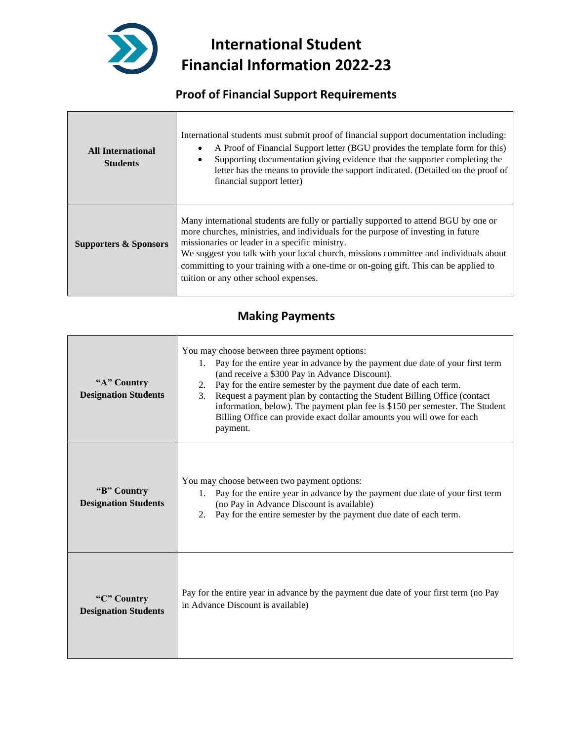

**International Student Financial Information 2022-23**

## **Proof of Financial Support Requirements**

| <b>All International</b><br><b>Students</b> | International students must submit proof of financial support documentation including:<br>A Proof of Financial Support letter (BGU provides the template form for this)<br>Supporting documentation giving evidence that the supporter completing the<br>letter has the means to provide the support indicated. (Detailed on the proof of<br>financial support letter)                                                                               |
|---------------------------------------------|------------------------------------------------------------------------------------------------------------------------------------------------------------------------------------------------------------------------------------------------------------------------------------------------------------------------------------------------------------------------------------------------------------------------------------------------------|
| <b>Supporters &amp; Sponsors</b>            | Many international students are fully or partially supported to attend BGU by one or<br>more churches, ministries, and individuals for the purpose of investing in future<br>missionaries or leader in a specific ministry.<br>We suggest you talk with your local church, missions committee and individuals about<br>committing to your training with a one-time or on-going gift. This can be applied to<br>tuition or any other school expenses. |

#### **Making Payments**

| "A" Country<br><b>Designation Students</b> | You may choose between three payment options:<br>Pay for the entire year in advance by the payment due date of your first term<br>1.<br>(and receive a \$300 Pay in Advance Discount).<br>Pay for the entire semester by the payment due date of each term.<br>2.<br>3.<br>Request a payment plan by contacting the Student Billing Office (contact<br>information, below). The payment plan fee is \$150 per semester. The Student<br>Billing Office can provide exact dollar amounts you will owe for each<br>payment. |
|--------------------------------------------|--------------------------------------------------------------------------------------------------------------------------------------------------------------------------------------------------------------------------------------------------------------------------------------------------------------------------------------------------------------------------------------------------------------------------------------------------------------------------------------------------------------------------|
| "B" Country<br><b>Designation Students</b> | You may choose between two payment options:<br>Pay for the entire year in advance by the payment due date of your first term<br>1.<br>(no Pay in Advance Discount is available)<br>Pay for the entire semester by the payment due date of each term.<br>2.                                                                                                                                                                                                                                                               |
| "C" Country<br><b>Designation Students</b> | Pay for the entire year in advance by the payment due date of your first term (no Pay<br>in Advance Discount is available)                                                                                                                                                                                                                                                                                                                                                                                               |